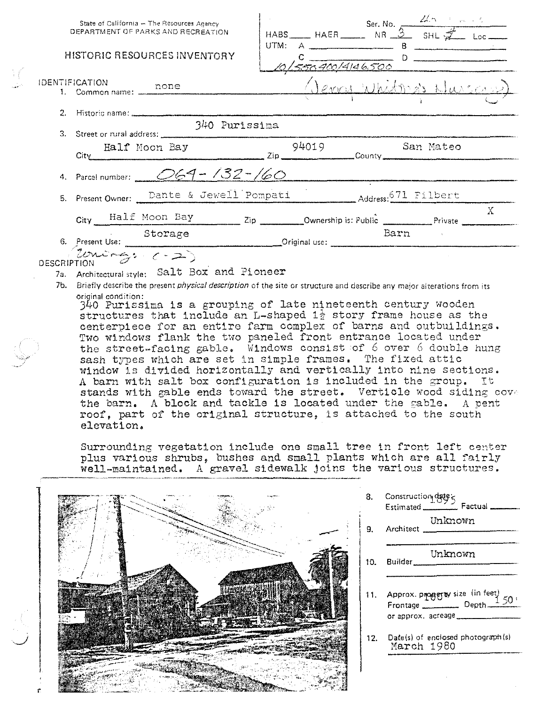|  |                       | State of California -- The Resources Agency<br>DEPARTMENT OF PARKS AND RECREATION                                                                                                                                                                                                                                                                                                                                   |               |  | HABS HAER Ser. No. $\frac{24.5 + 1.66}{8}$ HABS HAER NR 3 SHL                                                                                                                                                                    |       |
|--|-----------------------|---------------------------------------------------------------------------------------------------------------------------------------------------------------------------------------------------------------------------------------------------------------------------------------------------------------------------------------------------------------------------------------------------------------------|---------------|--|----------------------------------------------------------------------------------------------------------------------------------------------------------------------------------------------------------------------------------|-------|
|  |                       | <b>HISTORIC RESOURCES INVENTORY</b>                                                                                                                                                                                                                                                                                                                                                                                 |               |  | UTM: $A$ $B$<br>$\frac{c}{101550400/4146,500}$ D                                                                                                                                                                                 |       |
|  | <b>IDENTIFICATION</b> | ill-ICATION<br>1. Common name: <u>none</u>                                                                                                                                                                                                                                                                                                                                                                          |               |  | <u>(Jerry Whitma's Nursan)</u>                                                                                                                                                                                                   |       |
|  |                       |                                                                                                                                                                                                                                                                                                                                                                                                                     |               |  |                                                                                                                                                                                                                                  |       |
|  |                       | 3. Street or rural address:                                                                                                                                                                                                                                                                                                                                                                                         | 340 Purissima |  |                                                                                                                                                                                                                                  |       |
|  |                       | Example 11 Moon Bay 94019 San Mateo                                                                                                                                                                                                                                                                                                                                                                                 |               |  |                                                                                                                                                                                                                                  |       |
|  |                       | 4. Parcel number: $\angle$ 069 - 132 - 160                                                                                                                                                                                                                                                                                                                                                                          |               |  | e de la constitue de la papa di 10 décembre de la constitution de la constitution de montenarie de la constitu<br>Constitue de la constitution de la constitution de la constitution de la constitution de la constitution de la |       |
|  |                       | 5. Present Owner: Dante & Jewell Pompati Address: 671 Filbert                                                                                                                                                                                                                                                                                                                                                       |               |  |                                                                                                                                                                                                                                  |       |
|  |                       | City Half Moon Bay Zip Ownership is: Public Private Private                                                                                                                                                                                                                                                                                                                                                         |               |  |                                                                                                                                                                                                                                  | $X =$ |
|  |                       | Storage Dain Storage Dain                                                                                                                                                                                                                                                                                                                                                                                           |               |  |                                                                                                                                                                                                                                  |       |
|  |                       | DESCRIPTION                                                                                                                                                                                                                                                                                                                                                                                                         |               |  |                                                                                                                                                                                                                                  |       |
|  |                       | 7a. Architectural style: Salt Box and Pioneer                                                                                                                                                                                                                                                                                                                                                                       |               |  |                                                                                                                                                                                                                                  |       |
|  |                       |                                                                                                                                                                                                                                                                                                                                                                                                                     |               |  |                                                                                                                                                                                                                                  |       |
|  | original condition:   | 7b. Briefly describe the present physical description of the site or structure and describe any major alterations from its<br>$340$ Purissima is a grouping of late nineteenth century wooden<br>structures that include an L-shaped $1\frac{1}{2}$ story frame house as the<br>centerpiece for an entire farm complex of barns and outbuildings.<br>Two windows flank the two paneled front entrance located under |               |  |                                                                                                                                                                                                                                  |       |

the street-facing gable. Windows consist of 6 over 6 double hung sash types which are set in simple frames. The fixed attic window is divided horizontally and vertically into nine sections. A barn with salt box configuration is included in the group. It stands with gable ends toward the street. Verticle wood siding cove the barn. A block and tackle is located under the gable. A pent roof, part of the original structure, is attached to the south elevation.

Surrounding vegetation include one small tree in front left center plus various shrubs, bushes and small plants which are all fairly well-maintained. A gravel sidewalk joins the various structures.

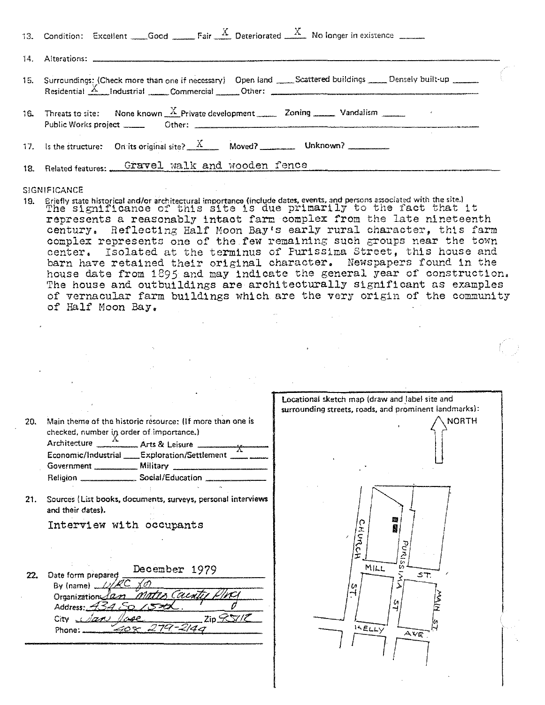| 13. Condition: Excellent Good Fair $\frac{A}{A}$ Deteriorated $\frac{A}{A}$ No longer in existence |  |
|----------------------------------------------------------------------------------------------------|--|
|                                                                                                    |  |
|                                                                                                    |  |
| 16. Threats to site: None known $\frac{X}{X}$ Private development 20ning 20ning Vandalism          |  |
|                                                                                                    |  |
| 18. Related features: Gravel walk and wooden fence                                                 |  |

Briefly state historical and/or architectural importance (include dates, events, and persons associated with the site.) The Significance of this site is due primarily to the fact that it  $19<sub>1</sub>$ represents a reasonably intact farm complex from the late nineteenth century. Reflecting Half Moon Bay's early rural character, this farm complex represents one of the few remaining such groups near the town center. Isolated at the terminus of Purissima Street, this house and barn have retained their original character. Newspapers found in the house date from 1895 and may indicate the general year of construction. The house and outbuildings are architecturally significant as examples of vernacular farm buildings which are the very origin of the community of Half Moon Bay.

|     |                                                                                                                                                                                                                                                                                                                   | Locational sketch map (draw and label site and<br>surrounding streets, roads, and prominent landmarks): |
|-----|-------------------------------------------------------------------------------------------------------------------------------------------------------------------------------------------------------------------------------------------------------------------------------------------------------------------|---------------------------------------------------------------------------------------------------------|
| 20. | Main theme of the historic resource: (If more than one is<br>checked, number in order of importance.)<br>Architecture $\frac{\Lambda}{\Lambda}$ Arts & Leisure $\frac{\Lambda}{\Lambda}$<br>Economic/Industrial ___Exploration/Settlement ____<br>Religion _______________________ Social/Education _____________ | <b>NORTH</b>                                                                                            |
| 21. | Sources (List books, documents, surveys, personal interviews<br>and their dates).                                                                                                                                                                                                                                 |                                                                                                         |
|     | Interview with occupants                                                                                                                                                                                                                                                                                          | 蘇<br>O<br>τ<br>$\mathcal{S}$<br>$\tilde{\mathbf{z}}$                                                    |
| 22. | December 1979<br>Date form prepared<br>By (name) $\angle 2$<br><u>Mates</u> Caentir<br>Organization 100<br>Address: 4542<br>ZipZV/Z<br>City class lose<br>$-408$ 279-2140<br>Phone:                                                                                                                               | MILL<br>ST<br>o<br>15 ELLY<br>Ave                                                                       |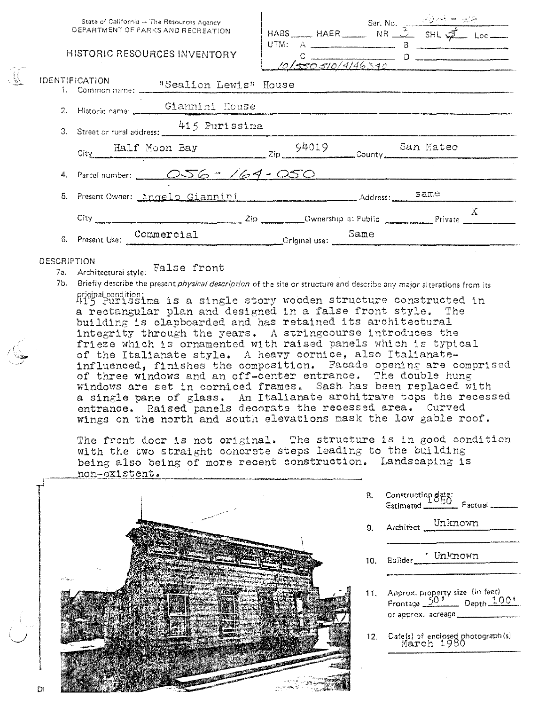| State of California - The Resources Agency<br>DEPARTMENT OF PARKS AND RECREATION<br>HISTORIC RESOURCES INVENTORY | UTM: $A$ $\overline{\phantom{a}}$ $B$ $\overline{\phantom{a}}$<br>$\frac{c}{10/\sqrt{50.510/4146.340}}$ D |  |              |
|------------------------------------------------------------------------------------------------------------------|-----------------------------------------------------------------------------------------------------------|--|--------------|
| <b>IDENTIFICATION</b><br>1. Common name: "Sealion Lewis" House                                                   |                                                                                                           |  |              |
| 2. Historic name: Giannini House                                                                                 |                                                                                                           |  |              |
| 3. Street or rural address: 415 Purissima                                                                        |                                                                                                           |  |              |
| Example 14019 San Mateo<br>County San Mateo                                                                      |                                                                                                           |  |              |
| 4. Parcel number: 056 - 164 - 050                                                                                |                                                                                                           |  |              |
| 5. Present Owner: Angelo Giannini                                                                                |                                                                                                           |  |              |
|                                                                                                                  |                                                                                                           |  | $\mathbf{A}$ |
| 6. Present Use: Commercial Commercial Commercial Criginal use: Commercial Criginal use:                          |                                                                                                           |  |              |

### **DESCRIPTION**

7a. Architectural style: False front

7b. Briefly describe the present *physical description* of the site or structure and describe any major alterations from its priginal condition:<br>415 Purissima is a single story wooden structure constructed in

a rectangular plan and designed in a false front style. The building is clapboarded and has retained its architectural integrity through the years. A stringcourse introduces the frieze which is ornamented with raised panels which is typical of the Italianate style. A heavy cornice, also Italianateinfluenced, finishes the composition. Facade opening are comprised of three windows and an off-center entrance. The double hung windows are set in corniced frames. Sash has been replaced with a single pane of glass. An Italianate architrave tops the recessed entrance. Raised panels decorate the recessed area. Curved wings on the north and south elevations mask the low gable roof.

The front door is not original. The structure is in good condition with the two straight concrete steps leading to the building being also being of more recent construction. Landscaping is non-existent.



| 8.  |                                                                                            |
|-----|--------------------------------------------------------------------------------------------|
| 9.  | Architect Unknown                                                                          |
|     | Builder Mhknown                                                                            |
|     | 11. Approx. property size (in feet)<br>Frontage $\frac{50!}{20!}$ Depth $\frac{100!}{20!}$ |
| 12. | Date(s) of enclosed photograph(s)<br>March 1980                                            |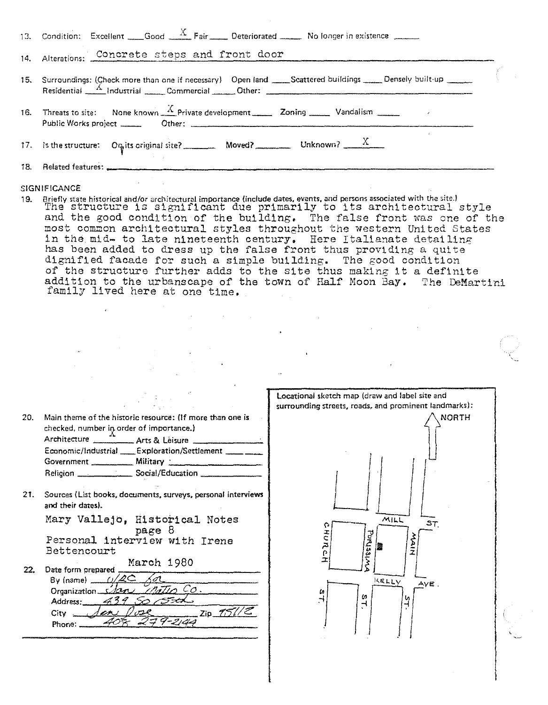| 13. Condition: Excellent Good $A$ Fair Deteriorated No longer in existence                                          |  |
|---------------------------------------------------------------------------------------------------------------------|--|
| 14. Alterations: Concrete steps and front door                                                                      |  |
| 15. Surroundings: (Check more than one if necessary) Open land ____Scattered buildings _____ Densely built-up _____ |  |
| 16. Threats to site: None known $\frac{X}{X}$ Private development <b>Zoning</b> 200 Mandalism 200                   |  |
|                                                                                                                     |  |
|                                                                                                                     |  |

19. Briefly state historical and/or architectural importance (include dates, events, and persons associated with the site.) The structure is significant due primarily to its architectural style and the good condition of the building. The false front was one of the most common architectural styles throughout the western United States in the mid- to late nineteenth century. Here Italianate detailing has been added to dress up the false front thus providing a quite dignified facade for such a simple building. The good condition of the structure further adds to the site thus making it a definite addition to the urbanscape of the town of Half Moon Bay. The DeMartini family lived here at one time.

| 20. | Main theme of the historic resource: (If more than one is<br>checked, number in order of importance.)<br>Economic/Industrial ____ Exploration/Settlement _____ _<br>Religion _________________ Social/Education _____________ | Locational sketch map (draw and label site and<br>surrounding streets, roads, and prominent landmarks):<br><b>NORTH</b> |
|-----|-------------------------------------------------------------------------------------------------------------------------------------------------------------------------------------------------------------------------------|-------------------------------------------------------------------------------------------------------------------------|
| 21. | Sources (List books, documents, surveys, personal interviews<br>and their dates).                                                                                                                                             |                                                                                                                         |
| 22. | Mary Vallejo, Historical Notes<br>page o<br>Personal interview with Irene<br>Bettencourt<br>March 1980<br>Date form prepared                                                                                                  | MILL<br>ST<br>Purissiz                                                                                                  |
|     | $By$ (name) $\sim$<br>$n_{a}T_{1}$ Co.<br>Organization _<br>Address.<br>$Zip\_151/\mathcal{Z}$<br>$City =$<br>Phone:                                                                                                          | KELLY<br>$AVE$ .<br>m<br>и                                                                                              |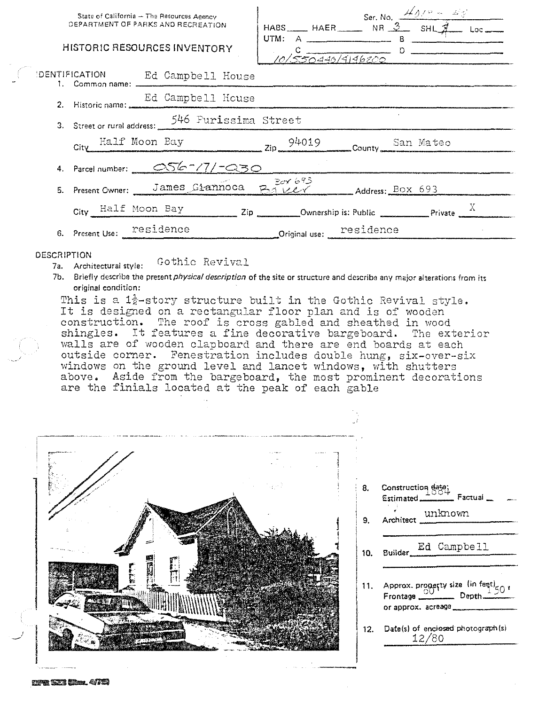| DEPARTMENT OF PARKS AND RECREATION               | State of California - The Resources Agency | HABS HAER Ser. No. $\frac{\cancel{401^\circ} - \cancel{400^\circ}}{8}$<br>HABS HAER NR 3 SHL $\cancel{4}$ Loc |                       |  |  |
|--------------------------------------------------|--------------------------------------------|---------------------------------------------------------------------------------------------------------------|-----------------------|--|--|
| <b>HISTORIC RESOURCES INVENTORY</b>              |                                            | UTM: $A$ $\qquad \qquad B$                                                                                    | $10/550440/4146200$ D |  |  |
| DENTIFICATION Ed Campbell House                  |                                            |                                                                                                               |                       |  |  |
| 2. Historic name: Ed Campbell House              |                                            |                                                                                                               |                       |  |  |
| 3. Street or rural address: 546 Purissima Street |                                            |                                                                                                               |                       |  |  |
|                                                  |                                            | City Half Moon Bay 2ip 94019 County San Mateo                                                                 |                       |  |  |
| 4. Parcel number: 056-77/-030                    |                                            |                                                                                                               |                       |  |  |
|                                                  |                                            | 5. Present Owner: James Giannoca $B_1 + B_2 + C_3$ Address: BOX 693                                           |                       |  |  |
|                                                  |                                            | City Half Moon Bay $\frac{1}{2}$ Zip Ownership is: Public Private $\frac{1}{2}$                               |                       |  |  |
| 6. Present Use: Pesidence                        |                                            | Original use: <u>residence</u>                                                                                |                       |  |  |

### DESCRIPTION

Gothic Revival 7a. Architectural style:

7b. Briefly describe the present *physical description* of the site or structure and describe any major alterations from its original condition:

This is a 1<sup>}</sup>-story structure built in the Gothic Revival style. It is designed on a rectangular floor plan and is of wooden construction. The roof is cross gabled and sheathed in wood shingles. It features a fine decorative bargeboard. The exterior walls are of wooden clapboard and there are end boards at each outside corner. Fenestration includes double hung, six-over-six windows on the ground level and lancet windows, with shutters above. Aside from the bargeboard, the most prominent decorations are the finials located at the peak of each gable



Construction date;<br>Estimated Factual 8. Architect unknown 9.

- Ed Campbell Builder 10.
- 11. Approx. property size  $\lim_{x\to 0} \frac{\text{length}}{50}$ Frontage \_ \_\_ Depth. or approx. acreage
- 12. Date(s) of enclosed photograph (s) 12/80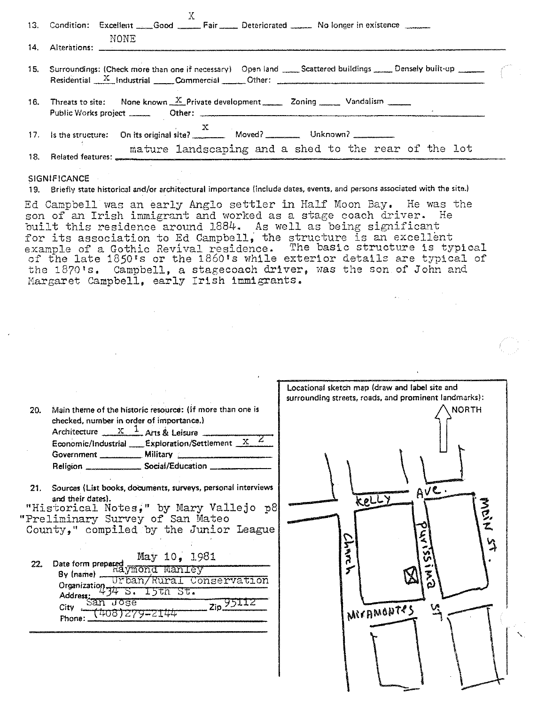| 13. Condition: Excellent Good _____Fair Deteriorated _____ No longer in existence<br>NONE                                                                                            |  |
|--------------------------------------------------------------------------------------------------------------------------------------------------------------------------------------|--|
| 15. Surroundings: (Check more than one if necessary) Open land _____Scattered buildings _____Densely built-up ______<br>Residential X Industrial Commercial Other: Commercial Other: |  |
| 16. Threats to site: None known $\frac{X}{X}$ Private development 20ning 200 Vandalism 200                                                                                           |  |
| mature landscaping and a shed to the rear of the lot                                                                                                                                 |  |
| the contract of the contract of the contract of the contract of the contract of                                                                                                      |  |

19. Briefly state historical and/or architectural importance (include dates, events, and persons associated with the site.)

Ed Campbell was an early Anglo settler in Half Moon Bay. He was the son of an Irish immigrant and worked as a stage coach driver. He built this residence around 1884. As well as being significant build this residence around 1884. As well as being significant example of a Gothic Revival residence. The basic structure is typical chample of a gound nevival residence. In casis services is system the 1870's. Campbell, a stagecoach driver, was the son of John and Nargaret campbell, early Irish immigrants.

| 20.           | Main theme of the historic resource: (if more than one is<br>checked, number in order of importance.)<br>Architecture $\frac{X}{X}$ $\frac{1}{X}$ Arts & Leisure<br>Economic/Industrial Exploration/Settlement $XZ$<br>Religion Social/Education _______                                                                                                                                                             | Locational sketch map (draw and label site and<br>surrounding streets, roads, and prominent landmarks):<br><b>NORTH</b> |
|---------------|----------------------------------------------------------------------------------------------------------------------------------------------------------------------------------------------------------------------------------------------------------------------------------------------------------------------------------------------------------------------------------------------------------------------|-------------------------------------------------------------------------------------------------------------------------|
| $21 -$<br>22. | Sources (List books, documents, surveys, personal interviews<br>and their dates).<br>"Historical Notes," by Mary Vallejo p8<br>"Preliminary Survey of San Mateo<br>County," compiled by the Junior League<br>May 10, 1981<br>Date form prepared<br>Raymond Man Ley<br>Urban/Rural Conservation<br>Organization.<br><u>S. 15th St.</u><br>Address:<br>nose<br>$Zip \frac{95112}{2}$<br>City.<br>408)279–2144<br>Phone | Ave.<br>Kelly<br>そうご<br>$\mathfrak{A}$<br><b>SAMC</b><br>V.<br>MICAMONTES                                               |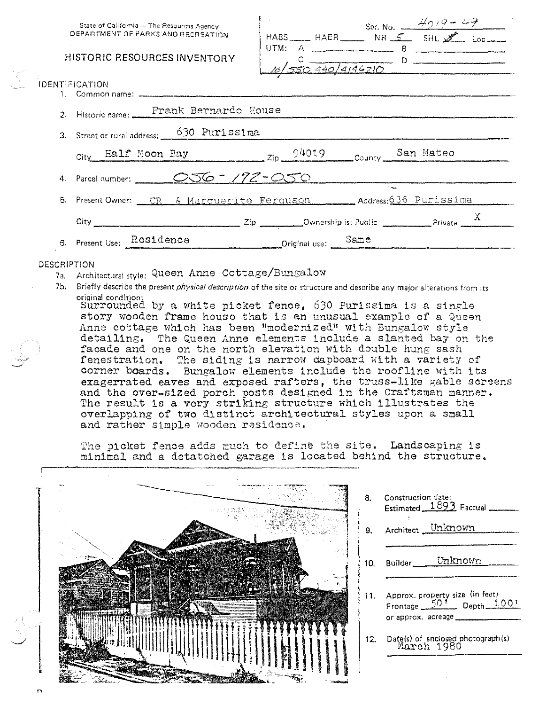| State of California - The Resources Agency |  |
|--------------------------------------------|--|
| DEPARTMENT OF PARKS AND RECREATION.        |  |

# **HISTORIC RESOURCES INVENTORY**

|                                              |     | Ser. No. $\frac{40}{42}$ |  |
|----------------------------------------------|-----|--------------------------|--|
| $HABS$ $HAFR$ $NR$ $S$ $SHL$ $M$ $loc$ $loc$ |     |                          |  |
| UTM: A                                       | - 8 |                          |  |
| 10/550 440/4146210                           |     |                          |  |
|                                              |     |                          |  |

| IDENTIFICATION                                                                                                                                                                                                                 |  |  |  |
|--------------------------------------------------------------------------------------------------------------------------------------------------------------------------------------------------------------------------------|--|--|--|
| 2. Historic name: Frank Bernardo House                                                                                                                                                                                         |  |  |  |
| 3. Street or rural address: 630 Purissima                                                                                                                                                                                      |  |  |  |
| City Half Moon Bay 2ip 94019 County San Mateo                                                                                                                                                                                  |  |  |  |
| 4. Parcel number: 056 - 172-050                                                                                                                                                                                                |  |  |  |
| 5. Present Owner: CR & Marquerite Ferquson Address: 636 Purissima                                                                                                                                                              |  |  |  |
| City City City City Compare 2.1 Dividend City Compare 2.1 Dividend City Compare 2.1 Dividend City Compare 2.1 Dividend City Compare 2.1 Dividend City Compare 2.1 Dividend City Compare 2.1 Dividend City Compare 2.1 Dividend |  |  |  |
| 6. Present Use: Residence<br>Driginal use: Same                                                                                                                                                                                |  |  |  |

## **DESCRIPTION**

- 7a. Architectural style: Queen Anne Cottage/Bungalow
- 7b. Briefly describe the present *physical description* of the site or structure and describe any major alterations from its

original condition:<br>Surrounded by a white picket fence, 630 Purissima is a single story wooden frame house that is an unusual example of a Queen Anne cottage which has been "modernized" with Bungalow style detailing. The Queen Anne elements include a slanted bay on the facade and one on the north elevation with double hung sash fenestration. The siding is narrow dapboard with a variety of corner boards. Bungalow elements include the roofline with its exagerrated eaves and exposed rafters, the truss-like gable screens and the over-sized porch posts designed in the Craftsman manner. The result is a very striking structure which illustrates the overlapping of two distinct architectural styles upon a small and rather simple wooden residence.

The picket fence adds much to define the site. Landscaping is minimal and a detatched garage is located behind the structure.



Construction date: Estimated  $1893$  Factual  $-$ Architect Unknown Unknown Builder\_ 11. Approx. property size (in feet)  $50<sup>1</sup>$ Depth 100' Frontage or approx. acreage. Date(s) of enclosed photograph(s) March 1980